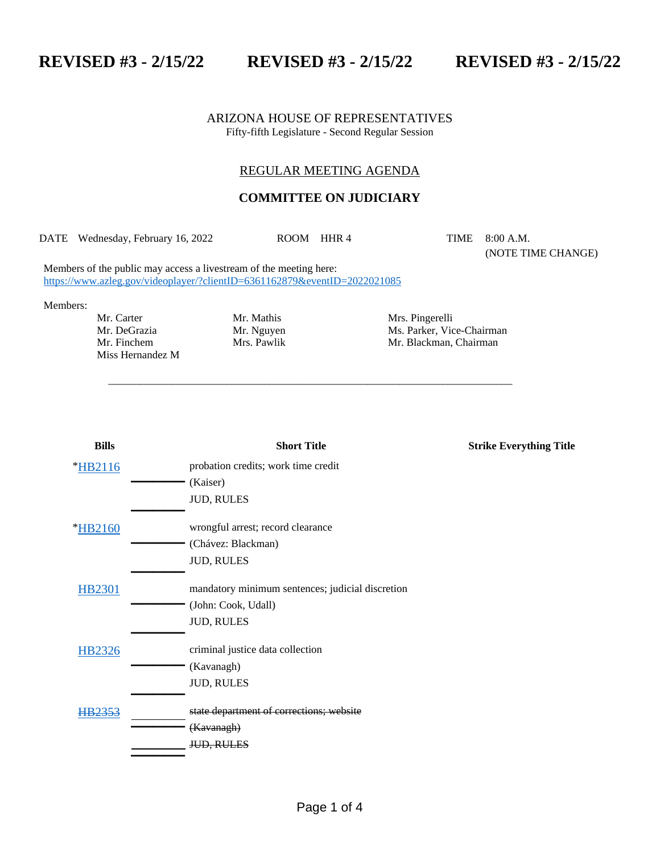**REVISED #3 - 2/15/22 REVISED #3 - 2/15/22 REVISED #3 - 2/15/22**

ARIZONA HOUSE OF REPRESENTATIVES Fifty-fifth Legislature - Second Regular Session

## REGULAR MEETING AGENDA

## **COMMITTEE ON JUDICIARY**

DATE Wednesday, February 16, 2022 ROOM HHR 4 TIME 8:00 A.M.

\_\_\_\_\_\_\_\_\_\_\_\_\_\_\_\_\_\_\_\_\_\_\_\_\_\_\_\_\_\_\_\_\_\_\_\_\_\_\_\_\_\_\_\_\_\_\_\_\_\_\_\_\_\_\_\_\_\_\_\_\_\_\_\_\_\_\_\_\_\_\_\_\_\_\_

(NOTE TIME CHANGE)

Members of the public may access a livestream of the meeting here: <https://www.azleg.gov/videoplayer/?clientID=6361162879&eventID=2022021085>

Members:

Mr. Carter Mr. Mathis Mrs. Pingerelli Miss Hernandez M

Mr. DeGrazia Mr. Myuyen Ms. Parker, Vice-Chairman Mr. Finchem Mrs. Pawlik Mr. Blackman, Chairman

| <b>Bills</b>  | <b>Short Title</b>                               | <b>Strike Everything Title</b> |
|---------------|--------------------------------------------------|--------------------------------|
| *HB2116       | probation credits; work time credit              |                                |
|               | (Kaiser)                                         |                                |
|               | <b>JUD, RULES</b>                                |                                |
| *HB2160       | wrongful arrest; record clearance                |                                |
|               | (Chávez: Blackman)                               |                                |
|               | <b>JUD, RULES</b>                                |                                |
| <b>HB2301</b> | mandatory minimum sentences; judicial discretion |                                |
|               | (John: Cook, Udall)                              |                                |
|               | <b>JUD, RULES</b>                                |                                |
| HB2326        | criminal justice data collection                 |                                |
|               | (Kavanagh)                                       |                                |
|               | <b>JUD, RULES</b>                                |                                |
| HB2353        | state department of corrections; website         |                                |
|               | (Kavanagh)                                       |                                |
|               | <del>JUD. RULES</del>                            |                                |
|               |                                                  |                                |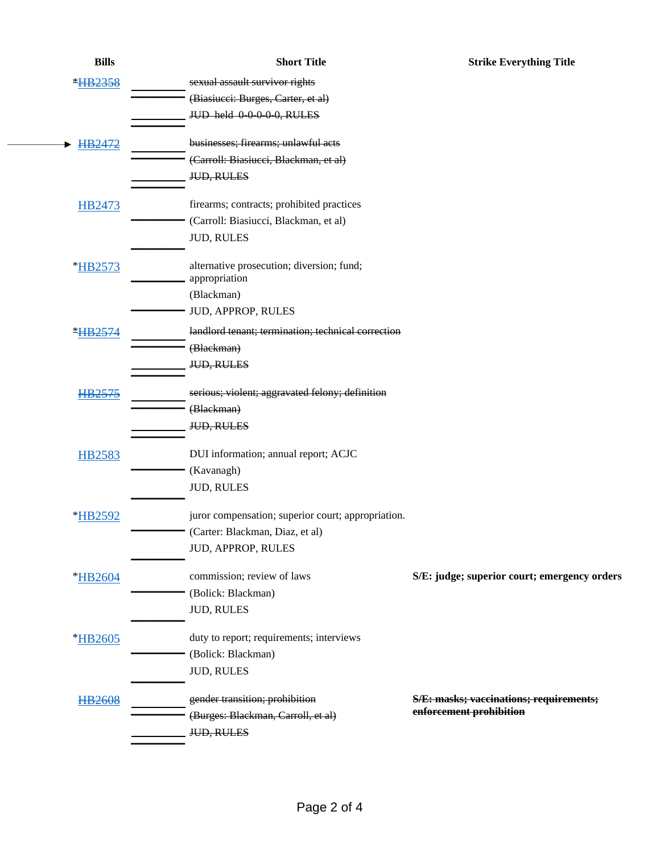| <b>Bills</b>   | <b>Short Title</b>                                 | <b>Strike Everything Title</b>               |
|----------------|----------------------------------------------------|----------------------------------------------|
| HB2358         | sexual assault survivor rights                     |                                              |
|                | (Biasiucei: Burges, Carter, et al)                 |                                              |
|                | JUD held 00000, RULES                              |                                              |
| HB2472         | businesses; firearms; unlawful acts                |                                              |
|                | (Carroll: Biasiucci, Blackman, et al)              |                                              |
|                | <b>JUD, RULES</b>                                  |                                              |
| HB2473         | firearms; contracts; prohibited practices          |                                              |
|                | (Carroll: Biasiucci, Blackman, et al)              |                                              |
|                | <b>JUD, RULES</b>                                  |                                              |
| *HB2573        | alternative prosecution; diversion; fund;          |                                              |
|                | appropriation                                      |                                              |
|                | (Blackman)                                         |                                              |
|                | JUD, APPROP, RULES                                 |                                              |
| <b>*HB2574</b> | landlord tenant; termination; technical correction |                                              |
|                | (Blackman)                                         |                                              |
|                | <b>JUD, RULES</b>                                  |                                              |
| HB2575         | serious; violent; aggravated felony; definition    |                                              |
|                | (Blackman)                                         |                                              |
|                | <b>JUD, RULES</b>                                  |                                              |
| <b>HB2583</b>  | DUI information; annual report; ACJC               |                                              |
|                | (Kavanagh)                                         |                                              |
|                | <b>JUD, RULES</b>                                  |                                              |
| *HB2592        | juror compensation; superior court; appropriation. |                                              |
|                | (Carter: Blackman, Diaz, et al)                    |                                              |
|                | JUD, APPROP, RULES                                 |                                              |
| *HB2604        | commission; review of laws                         | S/E: judge; superior court; emergency orders |
|                | (Bolick: Blackman)                                 |                                              |
|                | <b>JUD, RULES</b>                                  |                                              |
| *HB2605        | duty to report; requirements; interviews           |                                              |
|                | (Bolick: Blackman)                                 |                                              |
|                | <b>JUD, RULES</b>                                  |                                              |
| <b>HB2608</b>  | gender transition; prohibition                     | S/E: masks; vaccinations; requirements;      |
|                | (Burges: Blackman, Carroll, et al)                 | enforcement prohibition                      |
|                | JUD, RULES                                         |                                              |
|                |                                                    |                                              |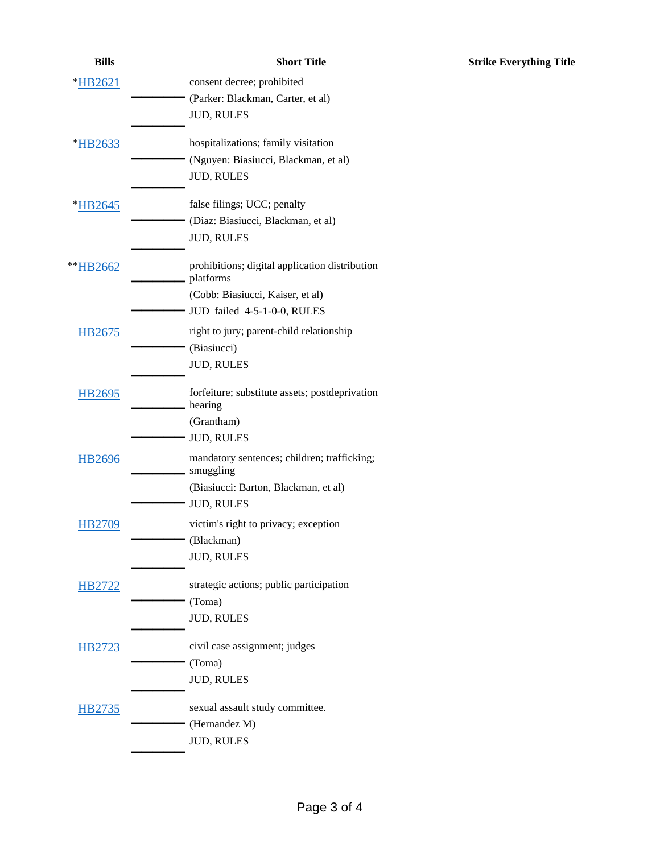| <b>Bills</b>  | <b>Short Title</b>                                              |
|---------------|-----------------------------------------------------------------|
| *HB2621       | consent decree; prohibited<br>(Parker: Blackman, Carter, et al) |
|               | <b>JUD, RULES</b>                                               |
| *HB2633       | hospitalizations; family visitation                             |
|               | (Nguyen: Biasiucci, Blackman, et al)<br><b>JUD, RULES</b>       |
| *HB2645       | false filings; UCC; penalty                                     |
|               | (Diaz: Biasiucci, Blackman, et al)<br><b>JUD, RULES</b>         |
| **HB2662      | prohibitions; digital application distribution<br>platforms     |
|               | (Cobb: Biasiucci, Kaiser, et al)<br>JUD failed 4-5-1-0-0, RULES |
| HB2675        | right to jury; parent-child relationship                        |
|               | (Biasiucci)                                                     |
|               | <b>JUD, RULES</b>                                               |
| HB2695        | forfeiture; substitute assets; postdeprivation<br>hearing       |
|               | (Grantham)<br><b>JUD, RULES</b>                                 |
| <b>HB2696</b> | mandatory sentences; children; trafficking;<br>smuggling        |
|               | (Biasiucci: Barton, Blackman, et al)                            |
|               | <b>JUD, RULES</b>                                               |
| HB2709        | victim's right to privacy; exception<br>(Blackman)              |
|               | <b>JUD, RULES</b>                                               |
| <b>HB2722</b> | strategic actions; public participation                         |
|               | (Toma)<br><b>JUD, RULES</b>                                     |
|               |                                                                 |
| HB2723        | civil case assignment; judges                                   |
|               | (Toma)<br><b>JUD, RULES</b>                                     |
| HB2735        | sexual assault study committee.                                 |
|               | (Hernandez M)                                                   |
|               | <b>JUD, RULES</b>                                               |